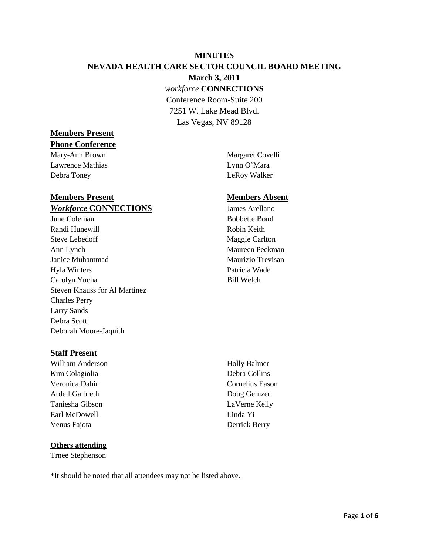# **MINUTES NEVADA HEALTH CARE SECTOR COUNCIL BOARD MEETING March 3, 2011** *workforce* **CONNECTIONS** Conference Room-Suite 200 7251 W. Lake Mead Blvd.

Las Vegas, NV 89128

# **Members Present**

#### **Phone Conference**

Mary-Ann Brown Margaret Covelli Lawrence Mathias Lynn O'Mara Debra Toney LeRoy Walker

# **Members Present Members Absent** *Workforce* **CONNECTIONS** James Arellano

June Coleman Bobbette Bond Randi Hunewill **Robin Keith** Steve Lebedoff Maggie Carlton Ann Lynch Maureen Peckman Janice Muhammad Maurizio Trevisan Hyla Winters Patricia Wade Carolyn Yucha Bill Welch Steven Knauss for Al Martinez Charles Perry Larry Sands Debra Scott Deborah Moore-Jaquith

### **Staff Present**

William Anderson Holly Balmer Kim Colagiolia Debra Collins Veronica Dahir Cornelius Eason Ardell Galbreth Doug Geinzer Taniesha Gibson LaVerne Kelly Earl McDowell Linda Yi Venus Fajota Derrick Berry

### **Others attending**

Trnee Stephenson

\*It should be noted that all attendees may not be listed above.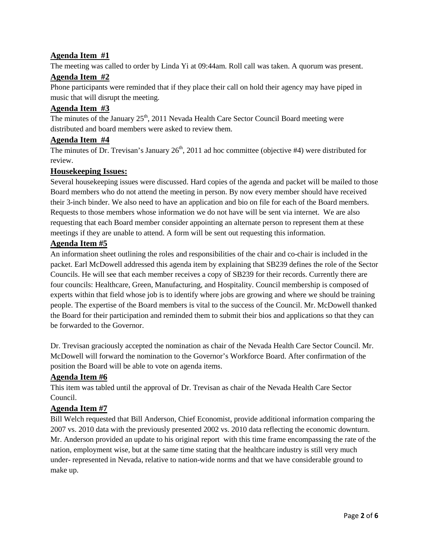# **Agenda Item #1**

The meeting was called to order by Linda Yi at 09:44am. Roll call was taken. A quorum was present.

# **Agenda Item #2**

Phone participants were reminded that if they place their call on hold their agency may have piped in music that will disrupt the meeting.

# **Agenda Item #3**

The minutes of the January  $25<sup>th</sup>$ , 2011 Nevada Health Care Sector Council Board meeting were distributed and board members were asked to review them.

# **Agenda Item #4**

The minutes of Dr. Trevisan's January  $26<sup>th</sup>$ , 2011 ad hoc committee (objective #4) were distributed for review.

# **Housekeeping Issues:**

Several housekeeping issues were discussed. Hard copies of the agenda and packet will be mailed to those Board members who do not attend the meeting in person. By now every member should have received their 3-inch binder. We also need to have an application and bio on file for each of the Board members. Requests to those members whose information we do not have will be sent via internet. We are also requesting that each Board member consider appointing an alternate person to represent them at these meetings if they are unable to attend. A form will be sent out requesting this information.

# **Agenda Item #5**

An information sheet outlining the roles and responsibilities of the chair and co-chair is included in the packet. Earl McDowell addressed this agenda item by explaining that SB239 defines the role of the Sector Councils. He will see that each member receives a copy of SB239 for their records. Currently there are four councils: Healthcare, Green, Manufacturing, and Hospitality. Council membership is composed of experts within that field whose job is to identify where jobs are growing and where we should be training people. The expertise of the Board members is vital to the success of the Council. Mr. McDowell thanked the Board for their participation and reminded them to submit their bios and applications so that they can be forwarded to the Governor.

Dr. Trevisan graciously accepted the nomination as chair of the Nevada Health Care Sector Council. Mr. McDowell will forward the nomination to the Governor's Workforce Board. After confirmation of the position the Board will be able to vote on agenda items.

# **Agenda Item #6**

This item was tabled until the approval of Dr. Trevisan as chair of the Nevada Health Care Sector Council.

### **Agenda Item #7**

Bill Welch requested that Bill Anderson, Chief Economist, provide additional information comparing the 2007 vs. 2010 data with the previously presented 2002 vs. 2010 data reflecting the economic downturn. Mr. Anderson provided an update to his original report with this time frame encompassing the rate of the nation, employment wise, but at the same time stating that the healthcare industry is still very much under- represented in Nevada, relative to nation-wide norms and that we have considerable ground to make up.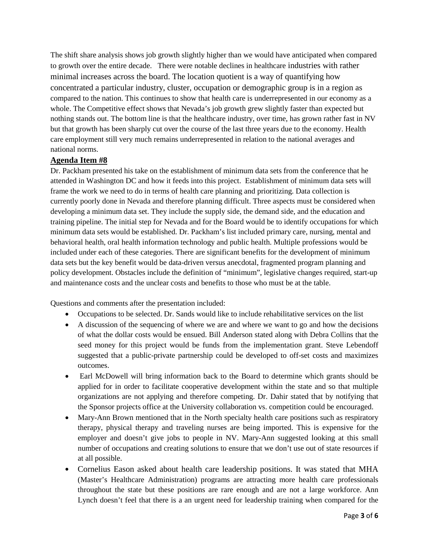The shift share analysis shows job growth slightly higher than we would have anticipated when compared to growth over the entire decade. There were notable declines in healthcare industries with rather minimal increases across the board. The location quotient is a way of quantifying how concentrated a particular industry, cluster, occupation or demographic group is in a region as compared to the nation. This continues to show that health care is underrepresented in our economy as a whole. The Competitive effect shows that Nevada's job growth grew slightly faster than expected but nothing stands out. The bottom line is that the healthcare industry, over time, has grown rather fast in NV but that growth has been sharply cut over the course of the last three years due to the economy. Health care employment still very much remains underrepresented in relation to the national averages and national norms.

### **Agenda Item #8**

Dr. Packham presented his take on the establishment of minimum data sets from the conference that he attended in Washington DC and how it feeds into this project. Establishment of minimum data sets will frame the work we need to do in terms of health care planning and prioritizing. Data collection is currently poorly done in Nevada and therefore planning difficult. Three aspects must be considered when developing a minimum data set. They include the supply side, the demand side, and the education and training pipeline. The initial step for Nevada and for the Board would be to identify occupations for which minimum data sets would be established. Dr. Packham's list included primary care, nursing, mental and behavioral health, oral health information technology and public health. Multiple professions would be included under each of these categories. There are significant benefits for the development of minimum data sets but the key benefit would be data-driven versus anecdotal, fragmented program planning and policy development. Obstacles include the definition of "minimum", legislative changes required, start-up and maintenance costs and the unclear costs and benefits to those who must be at the table.

Questions and comments after the presentation included:

- Occupations to be selected. Dr. Sands would like to include rehabilitative services on the list
- A discussion of the sequencing of where we are and where we want to go and how the decisions of what the dollar costs would be ensued. Bill Anderson stated along with Debra Collins that the seed money for this project would be funds from the implementation grant. Steve Lebendoff suggested that a public-private partnership could be developed to off-set costs and maximizes outcomes.
- Earl McDowell will bring information back to the Board to determine which grants should be applied for in order to facilitate cooperative development within the state and so that multiple organizations are not applying and therefore competing. Dr. Dahir stated that by notifying that the Sponsor projects office at the University collaboration vs. competition could be encouraged.
- Mary-Ann Brown mentioned that in the North specialty health care positions such as respiratory therapy, physical therapy and traveling nurses are being imported. This is expensive for the employer and doesn't give jobs to people in NV. Mary-Ann suggested looking at this small number of occupations and creating solutions to ensure that we don't use out of state resources if at all possible.
- Cornelius Eason asked about health care leadership positions. It was stated that MHA (Master's Healthcare Administration) programs are attracting more health care professionals throughout the state but these positions are rare enough and are not a large workforce. Ann Lynch doesn't feel that there is a an urgent need for leadership training when compared for the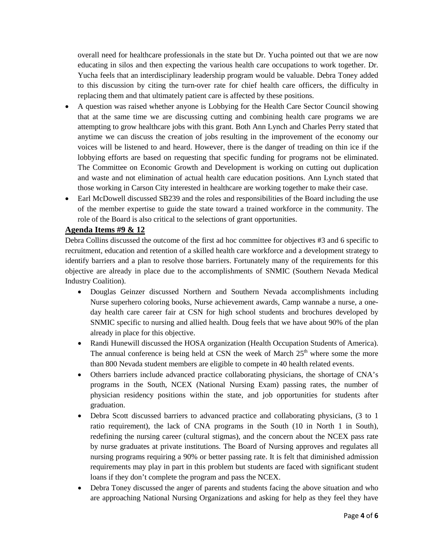overall need for healthcare professionals in the state but Dr. Yucha pointed out that we are now educating in silos and then expecting the various health care occupations to work together. Dr. Yucha feels that an interdisciplinary leadership program would be valuable. Debra Toney added to this discussion by citing the turn-over rate for chief health care officers, the difficulty in replacing them and that ultimately patient care is affected by these positions.

- A question was raised whether anyone is Lobbying for the Health Care Sector Council showing that at the same time we are discussing cutting and combining health care programs we are attempting to grow healthcare jobs with this grant. Both Ann Lynch and Charles Perry stated that anytime we can discuss the creation of jobs resulting in the improvement of the economy our voices will be listened to and heard. However, there is the danger of treading on thin ice if the lobbying efforts are based on requesting that specific funding for programs not be eliminated. The Committee on Economic Growth and Development is working on cutting out duplication and waste and not elimination of actual health care education positions. Ann Lynch stated that those working in Carson City interested in healthcare are working together to make their case.
- Earl McDowell discussed SB239 and the roles and responsibilities of the Board including the use of the member expertise to guide the state toward a trained workforce in the community. The role of the Board is also critical to the selections of grant opportunities.

# **Agenda Items #9 & 12**

Debra Collins discussed the outcome of the first ad hoc committee for objectives #3 and 6 specific to recruitment, education and retention of a skilled health care workforce and a development strategy to identify barriers and a plan to resolve those barriers. Fortunately many of the requirements for this objective are already in place due to the accomplishments of SNMIC (Southern Nevada Medical Industry Coalition).

- Douglas Geinzer discussed Northern and Southern Nevada accomplishments including Nurse superhero coloring books, Nurse achievement awards, Camp wannabe a nurse, a oneday health care career fair at CSN for high school students and brochures developed by SNMIC specific to nursing and allied health. Doug feels that we have about 90% of the plan already in place for this objective.
- Randi Hunewill discussed the HOSA organization (Health Occupation Students of America). The annual conference is being held at CSN the week of March  $25<sup>th</sup>$  where some the more than 800 Nevada student members are eligible to compete in 40 health related events.
- Others barriers include advanced practice collaborating physicians, the shortage of CNA's programs in the South, NCEX (National Nursing Exam) passing rates, the number of physician residency positions within the state, and job opportunities for students after graduation.
- Debra Scott discussed barriers to advanced practice and collaborating physicians, (3 to 1 ratio requirement), the lack of CNA programs in the South (10 in North 1 in South), redefining the nursing career (cultural stigmas), and the concern about the NCEX pass rate by nurse graduates at private institutions. The Board of Nursing approves and regulates all nursing programs requiring a 90% or better passing rate. It is felt that diminished admission requirements may play in part in this problem but students are faced with significant student loans if they don't complete the program and pass the NCEX.
- Debra Toney discussed the anger of parents and students facing the above situation and who are approaching National Nursing Organizations and asking for help as they feel they have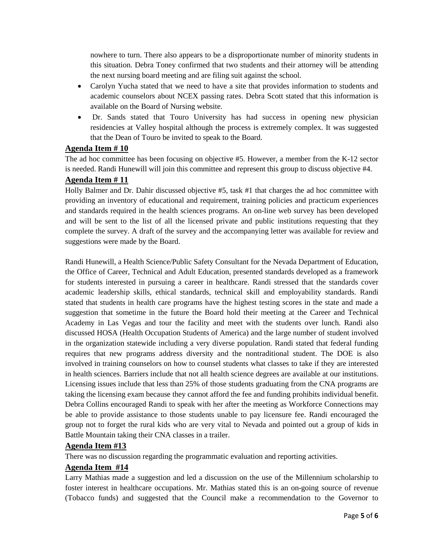nowhere to turn. There also appears to be a disproportionate number of minority students in this situation. Debra Toney confirmed that two students and their attorney will be attending the next nursing board meeting and are filing suit against the school.

- Carolyn Yucha stated that we need to have a site that provides information to students and academic counselors about NCEX passing rates. Debra Scott stated that this information is available on the Board of Nursing website.
- Dr. Sands stated that Touro University has had success in opening new physician residencies at Valley hospital although the process is extremely complex. It was suggested that the Dean of Touro be invited to speak to the Board.

# **Agenda Item # 10**

The ad hoc committee has been focusing on objective #5. However, a member from the K-12 sector is needed. Randi Hunewill will join this committee and represent this group to discuss objective #4.

# **Agenda Item # 11**

Holly Balmer and Dr. Dahir discussed objective #5, task #1 that charges the ad hoc committee with providing an inventory of educational and requirement, training policies and practicum experiences and standards required in the health sciences programs. An on-line web survey has been developed and will be sent to the list of all the licensed private and public institutions requesting that they complete the survey. A draft of the survey and the accompanying letter was available for review and suggestions were made by the Board.

Randi Hunewill, a Health Science/Public Safety Consultant for the Nevada Department of Education, the Office of Career, Technical and Adult Education, presented standards developed as a framework for students interested in pursuing a career in healthcare. Randi stressed that the standards cover academic leadership skills, ethical standards, technical skill and employability standards. Randi stated that students in health care programs have the highest testing scores in the state and made a suggestion that sometime in the future the Board hold their meeting at the Career and Technical Academy in Las Vegas and tour the facility and meet with the students over lunch. Randi also discussed HOSA (Health Occupation Students of America) and the large number of student involved in the organization statewide including a very diverse population. Randi stated that federal funding requires that new programs address diversity and the nontraditional student. The DOE is also involved in training counselors on how to counsel students what classes to take if they are interested in health sciences. Barriers include that not all health science degrees are available at our institutions. Licensing issues include that less than 25% of those students graduating from the CNA programs are taking the licensing exam because they cannot afford the fee and funding prohibits individual benefit. Debra Collins encouraged Randi to speak with her after the meeting as Workforce Connections may be able to provide assistance to those students unable to pay licensure fee. Randi encouraged the group not to forget the rural kids who are very vital to Nevada and pointed out a group of kids in Battle Mountain taking their CNA classes in a trailer.

### **Agenda Item #13**

There was no discussion regarding the programmatic evaluation and reporting activities.

### **Agenda Item #14**

Larry Mathias made a suggestion and led a discussion on the use of the Millennium scholarship to foster interest in healthcare occupations. Mr. Mathias stated this is an on-going source of revenue (Tobacco funds) and suggested that the Council make a recommendation to the Governor to